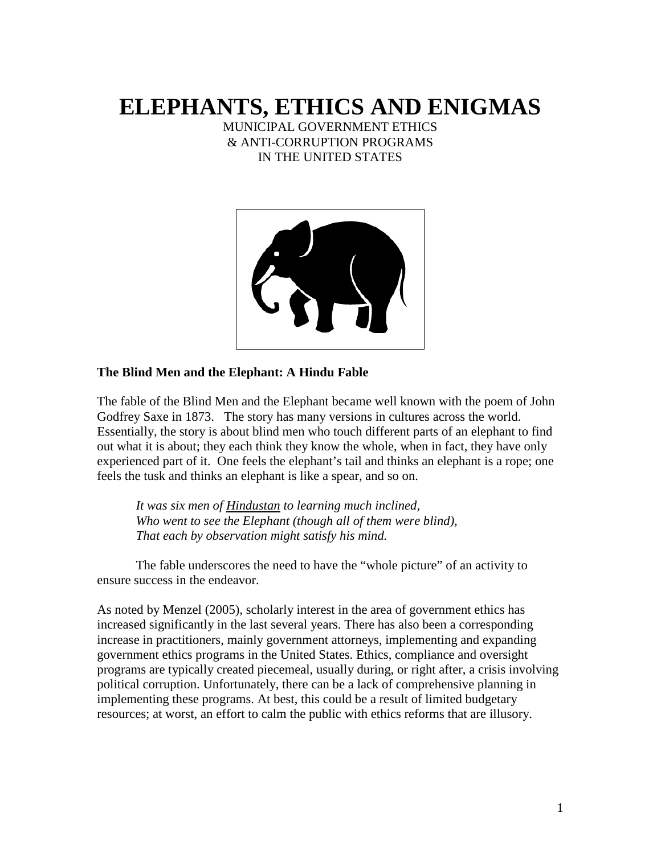# **ELEPHANTS, ETHICS AND ENIGMAS**

MUNICIPAL GOVERNMENT ETHICS & ANTI-CORRUPTION PROGRAMS IN THE UNITED STATES



#### **The Blind Men and the Elephant: A Hindu Fable**

The fable of the Blind Men and the Elephant became well known with the poem of John Godfrey Saxe in 1873. The story has many versions in cultures across the world. Essentially, the story is about blind men who touch different parts of an elephant to find out what it is about; they each think they know the whole, when in fact, they have only experienced part of it. One feels the elephant's tail and thinks an elephant is a rope; one feels the tusk and thinks an elephant is like a spear, and so on.

*It was six men of [Hindustan](http://en.wikipedia.org/wiki/Hindustan) to learning much inclined, Who went to see the Elephant (though all of them were blind), That each by observation might satisfy his mind.*

The fable underscores the need to have the "whole picture" of an activity to ensure success in the endeavor.

As noted by Menzel (2005), scholarly interest in the area of government ethics has increased significantly in the last several years. There has also been a corresponding increase in practitioners, mainly government attorneys, implementing and expanding government ethics programs in the United States. Ethics, compliance and oversight programs are typically created piecemeal, usually during, or right after, a crisis involving political corruption. Unfortunately, there can be a lack of comprehensive planning in implementing these programs. At best, this could be a result of limited budgetary resources; at worst, an effort to calm the public with ethics reforms that are illusory.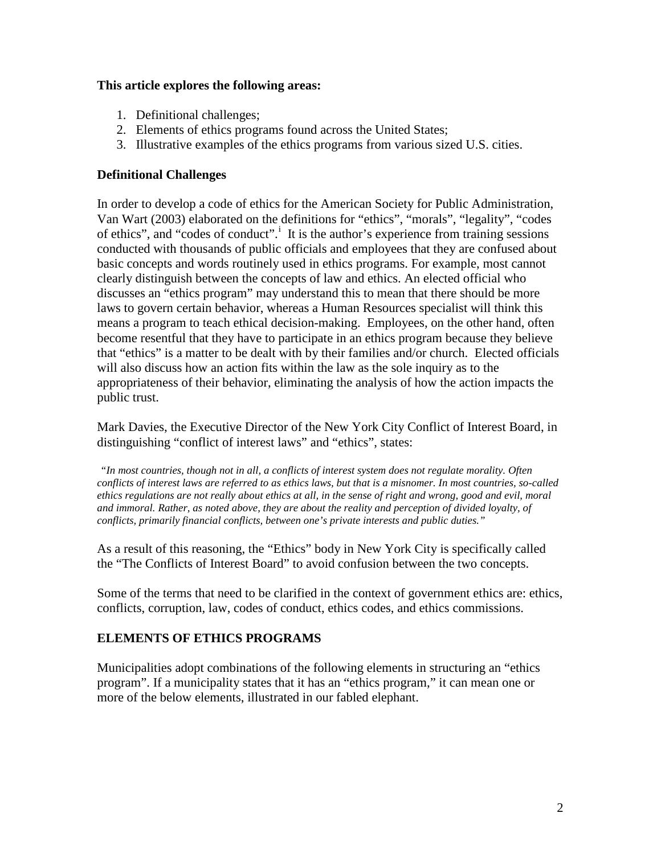#### **This article explores the following areas:**

- 1. Definitional challenges;
- 2. Elements of ethics programs found across the United States;
- 3. Illustrative examples of the ethics programs from various sized U.S. cities.

#### **Definitional Challenges**

In order to develop a code of ethics for the American Society for Public Administration, Van Wart (2003) elaborated on the definitions for "ethics", "morals", "legality", "codes of eth[i](#page-8-0)cs", and "codes of conduct".<sup>1</sup> It is the author's experience from training sessions conducted with thousands of public officials and employees that they are confused about basic concepts and words routinely used in ethics programs. For example, most cannot clearly distinguish between the concepts of law and ethics. An elected official who discusses an "ethics program" may understand this to mean that there should be more laws to govern certain behavior, whereas a Human Resources specialist will think this means a program to teach ethical decision-making. Employees, on the other hand, often become resentful that they have to participate in an ethics program because they believe that "ethics" is a matter to be dealt with by their families and/or church. Elected officials will also discuss how an action fits within the law as the sole inquiry as to the appropriateness of their behavior, eliminating the analysis of how the action impacts the public trust.

Mark Davies, the Executive Director of the New York City Conflict of Interest Board, in distinguishing "conflict of interest laws" and "ethics", states:

*"In most countries, though not in all, a conflicts of interest system does not regulate morality. Often conflicts of interest laws are referred to as ethics laws, but that is a misnomer. In most countries, so-called ethics regulations are not really about ethics at all, in the sense of right and wrong, good and evil, moral and immoral. Rather, as noted above, they are about the reality and perception of divided loyalty, of conflicts, primarily financial conflicts, between one's private interests and public duties."*

As a result of this reasoning, the "Ethics" body in New York City is specifically called the "The Conflicts of Interest Board" to avoid confusion between the two concepts.

Some of the terms that need to be clarified in the context of government ethics are: ethics, conflicts, corruption, law, codes of conduct, ethics codes, and ethics commissions.

#### **ELEMENTS OF ETHICS PROGRAMS**

Municipalities adopt combinations of the following elements in structuring an "ethics program". If a municipality states that it has an "ethics program," it can mean one or more of the below elements, illustrated in our fabled elephant.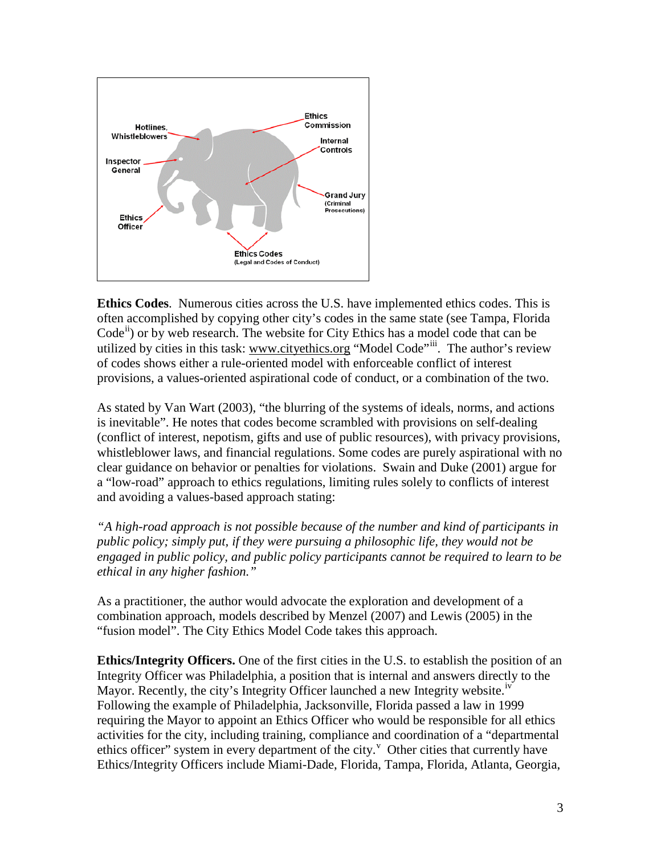

**Ethics Codes**. Numerous cities across the U.S. have implemented ethics codes. This is often accomplished by copying other city's codes in the same state (see Tampa, Florida  $Code<sup>ii</sup>$  $Code<sup>ii</sup>$  $Code<sup>ii</sup>$  or by web research. The website for City Ethics has a model code that can be utilized by cities in this task: [www.cityethics.org](http://www.cityethics.org/) "Model Code"<sup>[iii](#page-8-2)</sup>. The author's review of codes shows either a rule-oriented model with enforceable conflict of interest provisions, a values-oriented aspirational code of conduct, or a combination of the two.

As stated by Van Wart (2003), "the blurring of the systems of ideals, norms, and actions is inevitable". He notes that codes become scrambled with provisions on self-dealing (conflict of interest, nepotism, gifts and use of public resources), with privacy provisions, whistleblower laws, and financial regulations. Some codes are purely aspirational with no clear guidance on behavior or penalties for violations. Swain and Duke (2001) argue for a "low-road" approach to ethics regulations, limiting rules solely to conflicts of interest and avoiding a values-based approach stating:

*"A high-road approach is not possible because of the number and kind of participants in public policy; simply put, if they were pursuing a philosophic life, they would not be engaged in public policy, and public policy participants cannot be required to learn to be ethical in any higher fashion."*

As a practitioner, the author would advocate the exploration and development of a combination approach, models described by Menzel (2007) and Lewis (2005) in the "fusion model". The City Ethics Model Code takes this approach.

**Ethics/Integrity Officers.** One of the first cities in the U.S. to establish the position of an Integrity Officer was Philadelphia, a position that is internal and answers directly to the Mayor. Recently, the city's Integrity Officer launched a new Integrity website.<sup>[iv](#page-8-3)</sup> Following the example of Philadelphia, Jacksonville, Florida passed a law in 1999 requiring the Mayor to appoint an Ethics Officer who would be responsible for all ethics activities for the city, including training, compliance and coordination of a "departmental ethics officer" system in e[v](#page-8-4)ery department of the city.  $V$  Other cities that currently have Ethics/Integrity Officers include Miami-Dade, Florida, Tampa, Florida, Atlanta, Georgia,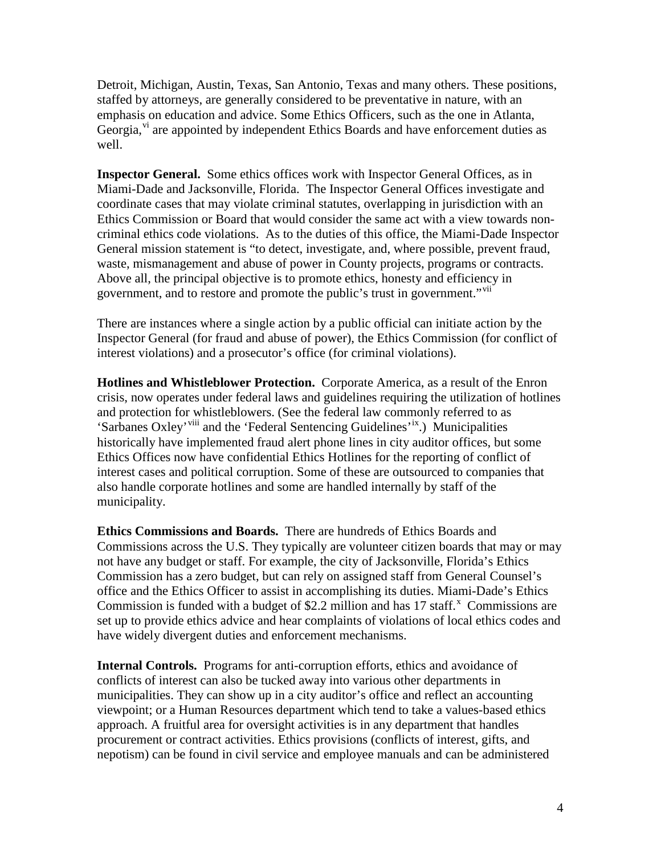Detroit, Michigan, Austin, Texas, San Antonio, Texas and many others. These positions, staffed by attorneys, are generally considered to be preventative in nature, with an emphasis on education and advice. Some Ethics Officers, such as the one in Atlanta, Georgia, $v<sub>i</sub>$  are appointed by independent Ethics Boards and have enforcement duties as well.

**Inspector General.** Some ethics offices work with Inspector General Offices, as in Miami-Dade and Jacksonville, Florida. The Inspector General Offices investigate and coordinate cases that may violate criminal statutes, overlapping in jurisdiction with an Ethics Commission or Board that would consider the same act with a view towards noncriminal ethics code violations. As to the duties of this office, the Miami-Dade Inspector General mission statement is "to detect, investigate, and, where possible, prevent fraud, waste, mismanagement and abuse of power in County projects, programs or contracts. Above all, the principal objective is to promote ethics, honesty and efficiency in government, and to restore and promote the public's trust in government."<sup>[vii](#page-9-1)</sup>

There are instances where a single action by a public official can initiate action by the Inspector General (for fraud and abuse of power), the Ethics Commission (for conflict of interest violations) and a prosecutor's office (for criminal violations).

**Hotlines and Whistleblower Protection.** Corporate America, as a result of the Enron crisis, now operates under federal laws and guidelines requiring the utilization of hotlines and protection for whistleblowers. (See the federal law commonly referred to as 'Sarbanes Oxley'<sup>[viii](#page-9-2)</sup> and the 'Federal Sentencing Guidelines'<sup>[ix](#page-9-3)</sup>.) Municipalities historically have implemented fraud alert phone lines in city auditor offices, but some Ethics Offices now have confidential Ethics Hotlines for the reporting of conflict of interest cases and political corruption. Some of these are outsourced to companies that also handle corporate hotlines and some are handled internally by staff of the municipality.

**Ethics Commissions and Boards.** There are hundreds of Ethics Boards and Commissions across the U.S. They typically are volunteer citizen boards that may or may not have any budget or staff. For example, the city of Jacksonville, Florida's Ethics Commission has a zero budget, but can rely on assigned staff from General Counsel's office and the Ethics Officer to assist in accomplishing its duties. Miami-Dade's Ethics Commission is funded with a budget of \$2.2 million and has  $17$  staff.<sup>[x](#page-9-4)</sup> Commissions are set up to provide ethics advice and hear complaints of violations of local ethics codes and have widely divergent duties and enforcement mechanisms.

**Internal Controls.** Programs for anti-corruption efforts, ethics and avoidance of conflicts of interest can also be tucked away into various other departments in municipalities. They can show up in a city auditor's office and reflect an accounting viewpoint; or a Human Resources department which tend to take a values-based ethics approach. A fruitful area for oversight activities is in any department that handles procurement or contract activities. Ethics provisions (conflicts of interest, gifts, and nepotism) can be found in civil service and employee manuals and can be administered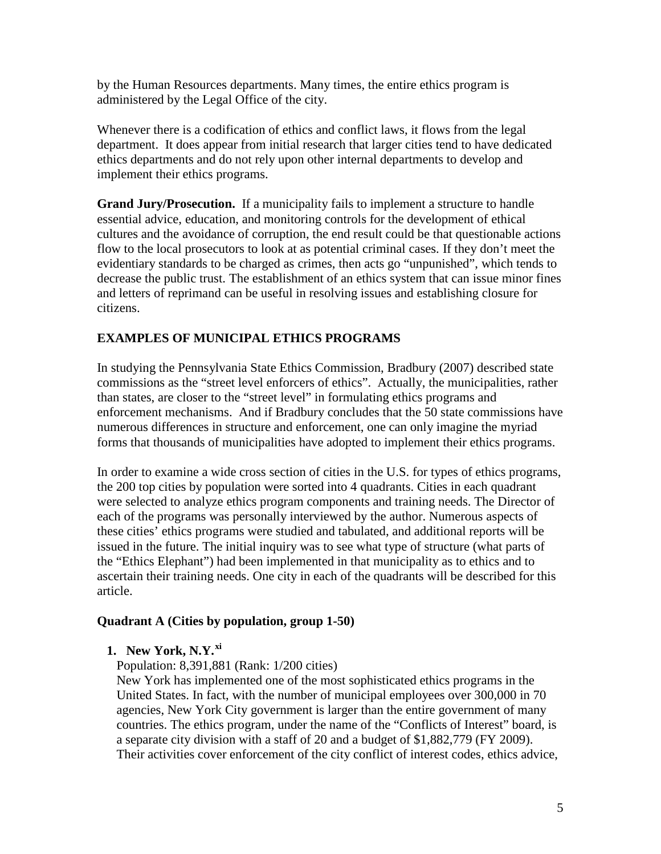by the Human Resources departments. Many times, the entire ethics program is administered by the Legal Office of the city.

Whenever there is a codification of ethics and conflict laws, it flows from the legal department. It does appear from initial research that larger cities tend to have dedicated ethics departments and do not rely upon other internal departments to develop and implement their ethics programs.

**Grand Jury/Prosecution.** If a municipality fails to implement a structure to handle essential advice, education, and monitoring controls for the development of ethical cultures and the avoidance of corruption, the end result could be that questionable actions flow to the local prosecutors to look at as potential criminal cases. If they don't meet the evidentiary standards to be charged as crimes, then acts go "unpunished", which tends to decrease the public trust. The establishment of an ethics system that can issue minor fines and letters of reprimand can be useful in resolving issues and establishing closure for citizens.

#### **EXAMPLES OF MUNICIPAL ETHICS PROGRAMS**

In studying the Pennsylvania State Ethics Commission, Bradbury (2007) described state commissions as the "street level enforcers of ethics". Actually, the municipalities, rather than states, are closer to the "street level" in formulating ethics programs and enforcement mechanisms. And if Bradbury concludes that the 50 state commissions have numerous differences in structure and enforcement, one can only imagine the myriad forms that thousands of municipalities have adopted to implement their ethics programs.

In order to examine a wide cross section of cities in the U.S. for types of ethics programs, the 200 top cities by population were sorted into 4 quadrants. Cities in each quadrant were selected to analyze ethics program components and training needs. The Director of each of the programs was personally interviewed by the author. Numerous aspects of these cities' ethics programs were studied and tabulated, and additional reports will be issued in the future. The initial inquiry was to see what type of structure (what parts of the "Ethics Elephant") had been implemented in that municipality as to ethics and to ascertain their training needs. One city in each of the quadrants will be described for this article.

#### **Quadrant A (Cities by population, group 1-50)**

**1. New York, N.Y.[xi](#page-9-5)**

Population: 8,391,881 (Rank: 1/200 cities)

New York has implemented one of the most sophisticated ethics programs in the United States. In fact, with the number of municipal employees over 300,000 in 70 agencies, New York City government is larger than the entire government of many countries. The ethics program, under the name of the "Conflicts of Interest" board, is a separate city division with a staff of 20 and a budget of \$1,882,779 (FY 2009). Their activities cover enforcement of the city conflict of interest codes, ethics advice,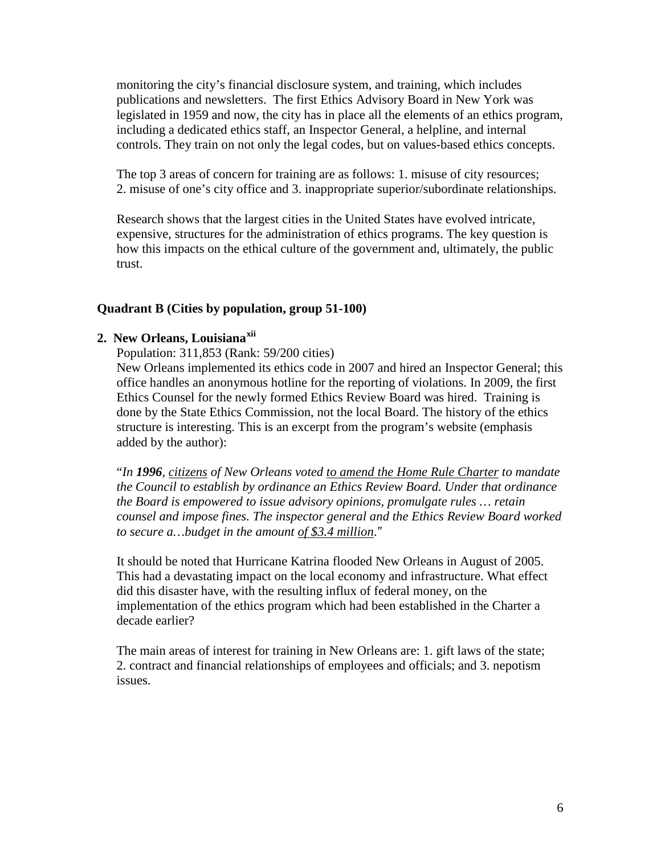monitoring the city's financial disclosure system, and training, which includes publications and newsletters. The first Ethics Advisory Board in New York was legislated in 1959 and now, the city has in place all the elements of an ethics program, including a dedicated ethics staff, an Inspector General, a helpline, and internal controls. They train on not only the legal codes, but on values-based ethics concepts.

The top 3 areas of concern for training are as follows: 1. misuse of city resources; 2. misuse of one's city office and 3. inappropriate superior/subordinate relationships.

Research shows that the largest cities in the United States have evolved intricate, expensive, structures for the administration of ethics programs. The key question is how this impacts on the ethical culture of the government and, ultimately, the public trust.

#### **Quadrant B (Cities by population, group 51-100)**

#### **2. New Orleans, Louisiana[xii](#page-9-6)**

Population: 311,853 (Rank: 59/200 cities)

New Orleans implemented its ethics code in 2007 and hired an Inspector General; this office handles an anonymous hotline for the reporting of violations. In 2009, the first Ethics Counsel for the newly formed Ethics Review Board was hired. Training is done by the State Ethics Commission, not the local Board. The history of the ethics structure is interesting. This is an excerpt from the program's website (emphasis added by the author):

"*In 1996, citizens of New Orleans voted to amend the Home Rule Charter to mandate the Council to establish by ordinance an Ethics Review Board. Under that ordinance the Board is empowered to issue advisory opinions, promulgate rules … retain counsel and impose fines. The inspector general and the Ethics Review Board worked to secure a…budget in the amount of \$3.4 million*.*"*

It should be noted that Hurricane Katrina flooded New Orleans in August of 2005. This had a devastating impact on the local economy and infrastructure. What effect did this disaster have, with the resulting influx of federal money, on the implementation of the ethics program which had been established in the Charter a decade earlier?

The main areas of interest for training in New Orleans are: 1. gift laws of the state; 2. contract and financial relationships of employees and officials; and 3. nepotism issues.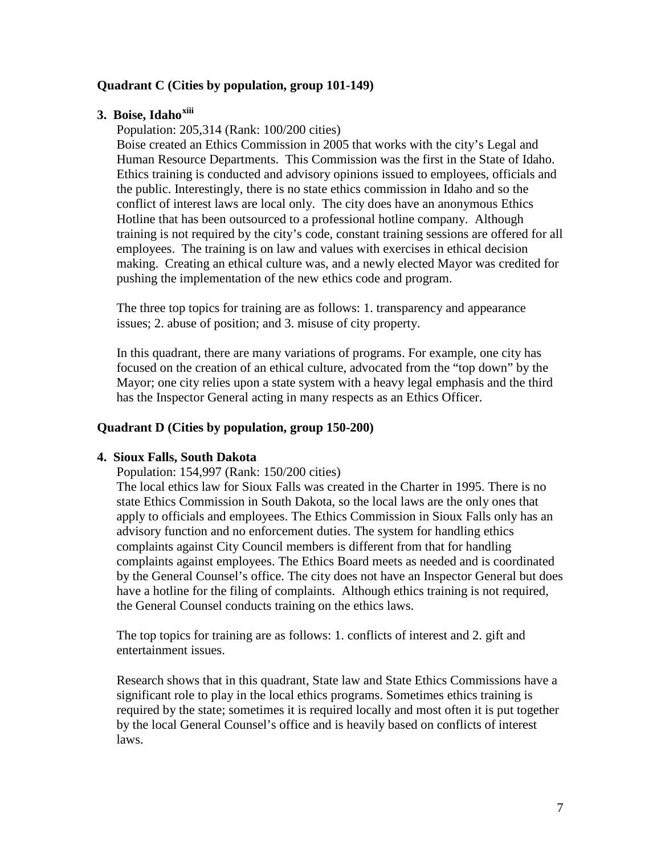#### **Quadrant C (Cities by population, group 101-149)**

### **3. Boise, Idaho[xiii](#page-9-7)**

Population: 205,314 (Rank: 100/200 cities)

Boise created an Ethics Commission in 2005 that works with the city's Legal and Human Resource Departments. This Commission was the first in the State of Idaho. Ethics training is conducted and advisory opinions issued to employees, officials and the public. Interestingly, there is no state ethics commission in Idaho and so the conflict of interest laws are local only. The city does have an anonymous Ethics Hotline that has been outsourced to a professional hotline company. Although training is not required by the city's code, constant training sessions are offered for all employees. The training is on law and values with exercises in ethical decision making. Creating an ethical culture was, and a newly elected Mayor was credited for pushing the implementation of the new ethics code and program.

The three top topics for training are as follows: 1. transparency and appearance issues; 2. abuse of position; and 3. misuse of city property.

In this quadrant, there are many variations of programs. For example, one city has focused on the creation of an ethical culture, advocated from the "top down" by the Mayor; one city relies upon a state system with a heavy legal emphasis and the third has the Inspector General acting in many respects as an Ethics Officer.

#### **Quadrant D (Cities by population, group 150-200)**

#### **4. Sioux Falls, South Dakota**

Population: 154,997 (Rank: 150/200 cities)

The local ethics law for Sioux Falls was created in the Charter in 1995. There is no state Ethics Commission in South Dakota, so the local laws are the only ones that apply to officials and employees. The Ethics Commission in Sioux Falls only has an advisory function and no enforcement duties. The system for handling ethics complaints against City Council members is different from that for handling complaints against employees. The Ethics Board meets as needed and is coordinated by the General Counsel's office. The city does not have an Inspector General but does have a hotline for the filing of complaints. Although ethics training is not required, the General Counsel conducts training on the ethics laws.

The top topics for training are as follows: 1. conflicts of interest and 2. gift and entertainment issues.

Research shows that in this quadrant, State law and State Ethics Commissions have a significant role to play in the local ethics programs. Sometimes ethics training is required by the state; sometimes it is required locally and most often it is put together by the local General Counsel's office and is heavily based on conflicts of interest laws.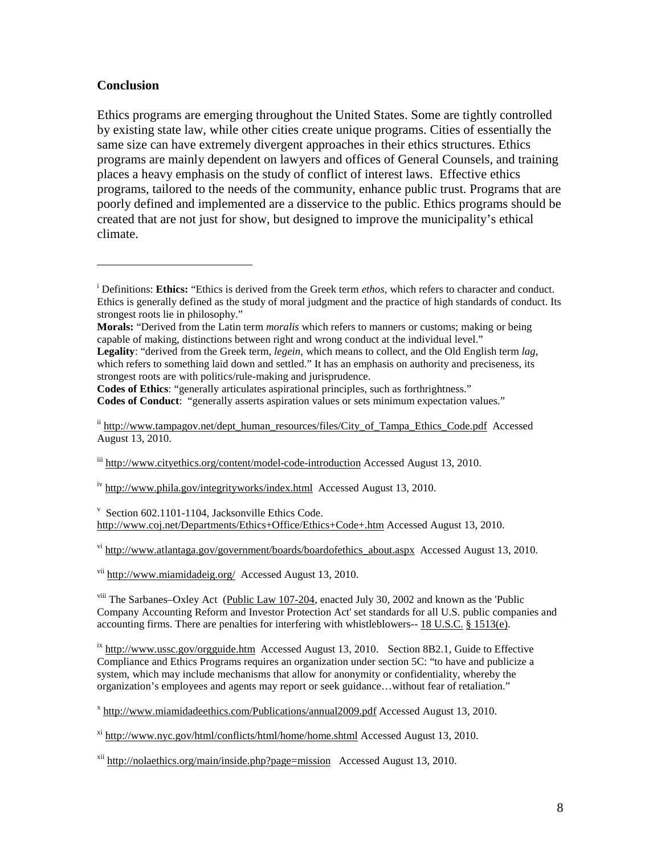#### **Conclusion**

 $\overline{a}$ 

Ethics programs are emerging throughout the United States. Some are tightly controlled by existing state law, while other cities create unique programs. Cities of essentially the same size can have extremely divergent approaches in their ethics structures. Ethics programs are mainly dependent on lawyers and offices of General Counsels, and training places a heavy emphasis on the study of conflict of interest laws. Effective ethics programs, tailored to the needs of the community, enhance public trust. Programs that are poorly defined and implemented are a disservice to the public. Ethics programs should be created that are not just for show, but designed to improve the municipality's ethical climate.

**Codes of Ethics**: "generally articulates aspirational principles, such as forthrightness." **Codes of Conduct**: "generally asserts aspiration values or sets minimum expectation values."

ii [http://www.tampagov.net/dept\\_human\\_resources/files/City\\_of\\_Tampa\\_Ethics\\_Code.pdf](http://www.tampagov.net/dept_human_resources/files/City_of_Tampa_Ethics_Code.pdf) Accessed August 13, 2010.

iii <http://www.cityethics.org/content/model-code-introduction> Accessed August 13, 2010.

iv <http://www.phila.gov/integrityworks/index.html>Accessed August 13, 2010.

v Section 602.1101-1104, Jacksonville Ethics Code. <http://www.coj.net/Departments/Ethics+Office/Ethics+Code+.htm> Accessed August 13, 2010.

 $v_i$  http://www.atlantaga.gov/government/boards/boardofethics about.aspx Accessed August 13, 2010.

vii <http://www.miamidadeig.org/>Accessed August 13, 2010.

<sup>viii</sup> The Sarbanes–Oxley Act [\(Public Law 107-204,](http://www.gpo.gov/fdsys/pkg/PLAW-107publ204/content-detail.html) enacted July 30, 2002 and known as the 'Public Company Accounting Reform and Investor Protection Act' set standards for all U.S. public companies and accounting firms. There are penalties for interfering with whistleblowers-- [18 U.S.C.](http://en.wikipedia.org/wiki/Title_18_of_the_United_States_Code) § [1513\(e\).](http://www.law.cornell.edu/uscode/18/1513.html#e)

 $\frac{1}{x}$  <http://www.ussc.gov/orgguide.htm>Accessed August 13, 2010. Section 8B2.1, Guide to Effective Compliance and Ethics Programs requires an organization under section 5C: "to have and publicize a system, which may include mechanisms that allow for anonymity or confidentiality, whereby the organization's employees and agents may report or seek guidance…without fear of retaliation."

<sup>x</sup> <http://www.miamidadeethics.com/Publications/annual2009.pdf> Accessed August 13, 2010.

xi <http://www.nyc.gov/html/conflicts/html/home/home.shtml> Accessed August 13, 2010.

 $xii$  <http://nolaethics.org/main/inside.php?page=mission>Accessed August 13, 2010.

<sup>&</sup>lt;sup>i</sup> Definitions: **Ethics:** "Ethics is derived from the Greek term *ethos*, which refers to character and conduct. Ethics is generally defined as the study of moral judgment and the practice of high standards of conduct. Its strongest roots lie in philosophy."

**Morals:** "Derived from the Latin term *moralis* which refers to manners or customs; making or being capable of making, distinctions between right and wrong conduct at the individual level."

**Legality**: "derived from the Greek term, *legein,* which means to collect, and the Old English term *lag,* which refers to something laid down and settled." It has an emphasis on authority and preciseness, its strongest roots are with politics/rule-making and jurisprudence.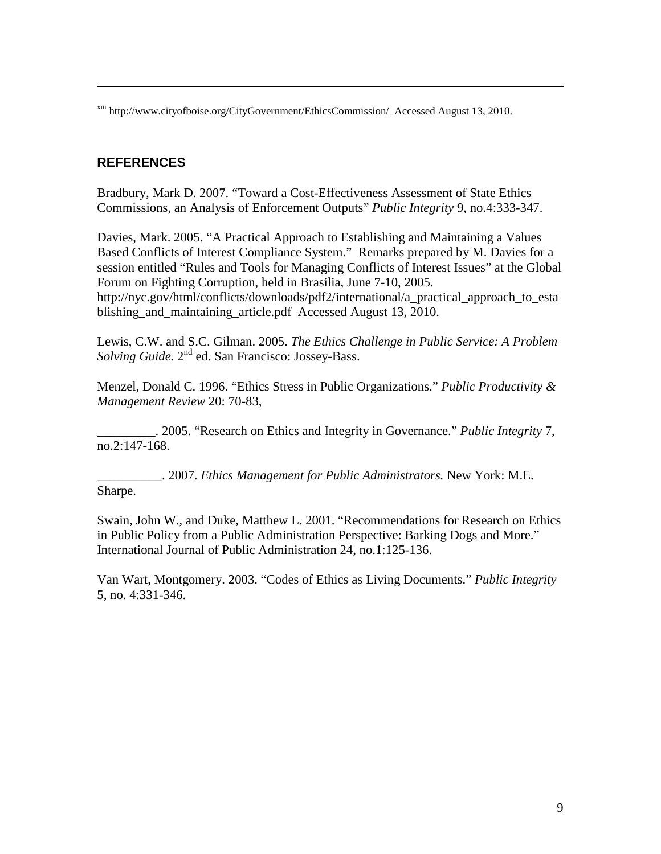xiii <http://www.cityofboise.org/CityGovernment/EthicsCommission/>Accessed August 13, 2010.

#### **REFERENCES**

 $\overline{a}$ 

Bradbury, Mark D. 2007. "Toward a Cost-Effectiveness Assessment of State Ethics Commissions, an Analysis of Enforcement Outputs" *Public Integrity* 9, no.4:333-347.

Davies, Mark. 2005. "A Practical Approach to Establishing and Maintaining a Values Based Conflicts of Interest Compliance System." Remarks prepared by M. Davies for a session entitled "Rules and Tools for Managing Conflicts of Interest Issues" at the Global Forum on Fighting Corruption, held in Brasilia, June 7-10, 2005. [http://nyc.gov/html/conflicts/downloads/pdf2/international/a\\_practical\\_approach\\_to\\_esta](http://nyc.gov/html/conflicts/downloads/pdf2/international/a_practical_approach_to_establishing_and_maintaining_article.pdf) [blishing\\_and\\_maintaining\\_article.pdf](http://nyc.gov/html/conflicts/downloads/pdf2/international/a_practical_approach_to_establishing_and_maintaining_article.pdf) Accessed August 13, 2010.

<span id="page-8-0"></span>Lewis, C.W. and S.C. Gilman. 2005. *The Ethics Challenge in Public Service: A Problem Solving Guide.* 2nd ed. San Francisco: Jossey-Bass.

Menzel, Donald C. 1996. "Ethics Stress in Public Organizations." *Public Productivity & Management Review* 20: 70-83,

<span id="page-8-1"></span>\_\_\_\_\_\_\_\_\_. 2005. "Research on Ethics and Integrity in Governance." *Public Integrity* 7, no.2:147-168.

<span id="page-8-3"></span><span id="page-8-2"></span>\_\_\_\_\_\_\_\_\_\_. 2007. *Ethics Management for Public Administrators.* New York: M.E. Sharpe.

<span id="page-8-4"></span>Swain, John W., and Duke, Matthew L. 2001. "Recommendations for Research on Ethics in Public Policy from a Public Administration Perspective: Barking Dogs and More." International Journal of Public Administration 24, no.1:125-136.

Van Wart, Montgomery. 2003. "Codes of Ethics as Living Documents." *Public Integrity*  5, no. 4:331-346.